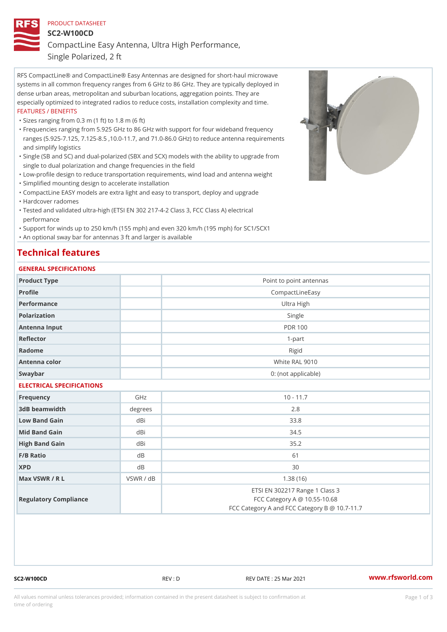### PRODUCT DATASHEET SC2-W100CD

CompactLine Easy Antenna, Ultra High Performance,

Single Polarized, 2 ft

RFS CompactLine® and CompactLine® Easy Antennas are designed for short-haul microwave systems in all common frequency ranges from 6 GHz to 86 GHz. They are typically deployed in dense urban areas, metropolitan and suburban locations, aggregation points. They are especially optimized to integrated radios to reduce costs, installation complexity and time. FEATURES / BENEFITS

"Sizes ranging from 0.3 m (1 ft) to 1.8 m (6 ft)

- Frequencies ranging from 5.925 GHz to 86 GHz with support for four wideband frequency " ranges (5.925-7.125, 7.125-8.5 ,10.0-11.7, and 71.0-86.0 GHz) to reduce antenna requirements and simplify logistics
- Single (SB and SC) and dual-polarized (SBX and SCX) models with the ability to upgrade from " single to dual polarization and change frequencies in the field
- "Low-profile design to reduce transportation requirements, wind load and antenna weight
- "Simplified mounting design to accelerate installation

 "CompactLine EASY models are extra light and easy to transport, deploy and upgrade "Hardcover radomes

Tested and validated ultra-high (ETSI EN 302 217-4-2 Class 3, FCC Class A) electrical " performance

 "Support for winds up to 250 km/h (155 mph) and even 320 km/h (195 mph) for SC1/SCX1 "An optional sway bar for antennas 3 ft and larger is available

# Technical features

## GENERAL SPECIFICATIONS

| Product Type              |           | Point to point antennas                                                                                         |  |  |
|---------------------------|-----------|-----------------------------------------------------------------------------------------------------------------|--|--|
| Profile                   |           | CompactLineEasy                                                                                                 |  |  |
| Performance               |           | Ultra High                                                                                                      |  |  |
| Polarization              |           | Single                                                                                                          |  |  |
| Antenna Input             |           | <b>PDR 100</b>                                                                                                  |  |  |
| Reflector                 |           | $1 - p$ art                                                                                                     |  |  |
| Radome                    |           | Rigid                                                                                                           |  |  |
| Antenna color             |           | White RAL 9010                                                                                                  |  |  |
| Swaybar                   |           | 0: (not applicable)                                                                                             |  |  |
| ELECTRICAL SPECIFICATIONS |           |                                                                                                                 |  |  |
| Frequency                 | GHz       | $10 - 11.7$                                                                                                     |  |  |
| 3dB beamwidth             | degree    | 2.8                                                                                                             |  |  |
| Low Band Gain             | dBi       | 33.8                                                                                                            |  |  |
| Mid Band Gain             | dBi       | 34.5                                                                                                            |  |  |
| High Band Gain            | dBi       | 35.2                                                                                                            |  |  |
| $F/B$ Ratio               | d B       | 61                                                                                                              |  |  |
| <b>XPD</b>                | d B       | 30                                                                                                              |  |  |
| Max VSWR / R L            | VSWR / dB | 1.38(16)                                                                                                        |  |  |
| Regulatory Compliance     |           | ETSI EN 302217 Range 1 Class 3<br>FCC Category A @ 10.55-10.68<br>FCC Category A and FCC Category B @ 10.7-11.7 |  |  |

SC2-W100CD REV : D REV DATE : 25 Mar 2021 [www.](https://www.rfsworld.com)rfsworld.com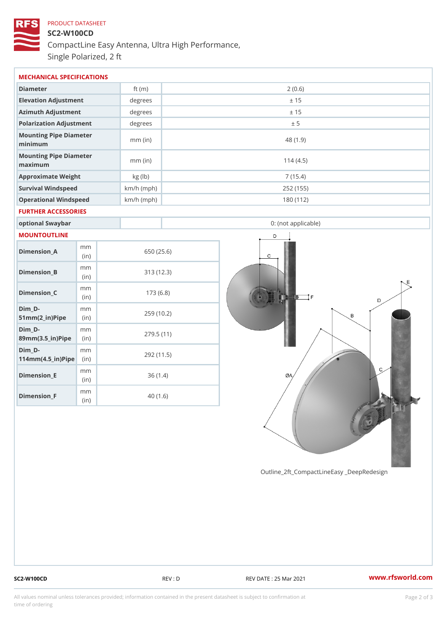# PRODUCT DATASHEET SC2-W100CD CompactLine Easy Antenna, Ultra High Performance, Single Polarized, 2 ft

| MECHANICAL SPECIFICATIONS                                       |             |              |                     |  |  |  |  |
|-----------------------------------------------------------------|-------------|--------------|---------------------|--|--|--|--|
| Diameter                                                        |             | ft $(m)$     | 2(0.6)              |  |  |  |  |
| Elevation Adjustment                                            |             | degrees      | ± 15                |  |  |  |  |
| Azimuth Adjustment                                              |             | degree:      | ± 15                |  |  |  |  |
| Polarization Adjustment                                         |             | degrees      | ± 5                 |  |  |  |  |
| Mounting Pipe Diameter<br>minimum                               |             | $mm$ (in)    | 48 (1.9)            |  |  |  |  |
| Mounting Pipe Diameter<br>maximum                               |             | $mm$ (in)    | 114(4.5)            |  |  |  |  |
| Approximate Weight                                              |             | kg (lb)      | 7(15.4)             |  |  |  |  |
| Survival Windspeed                                              |             | $km/h$ (mph) | 252 (155)           |  |  |  |  |
| Operational Windspeed                                           |             | $km/h$ (mph) | 180 (112)           |  |  |  |  |
| FURTHER ACCESSORIES                                             |             |              |                     |  |  |  |  |
| optional Swaybar                                                |             |              | 0: (not applicable) |  |  |  |  |
| MOUNTOUTLINE                                                    |             |              |                     |  |  |  |  |
| $Dimen sion_A$                                                  | m m<br>(in) |              | 650 (25.6)          |  |  |  |  |
| $Dimension_B$                                                   | m m<br>(in) |              | 313 (12.3)          |  |  |  |  |
| Dimension_C                                                     | m m<br>(in) |              | 173(6.8)            |  |  |  |  |
| $Dim_D - D -$<br>$51mm(2_in) Pip@in$                            | m m         |              | 259 (10.2)          |  |  |  |  |
| Dim D-<br>$89$ m m $(3.5 \text{ m})$ P i(pi me)                 | m m         |              | 279.5(11)           |  |  |  |  |
| Dim D-<br>$114$ m m $(4.5$ ir $)$ $\sqrt{$ ii $\sqrt{p}}$ $\ge$ | m m         |              | 292 (11.5)          |  |  |  |  |
| $Dimension$ _ $E$                                               | m m<br>(in) |              | 36(1.4)             |  |  |  |  |

Outline\_2ft\_CompactLineEasy \_DeepRedesi

Dimension\_F

m m (in)

40 (1.6)

SC2-W100CD REV : D REV DATE : 25 Mar 2021 [www.](https://www.rfsworld.com)rfsworld.com